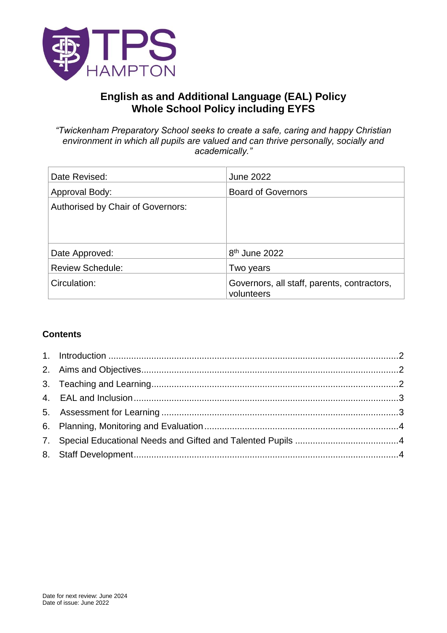

# **English as and Additional Language (EAL) Policy Whole School Policy including EYFS**

*"Twickenham Preparatory School seeks to create a safe, caring and happy Christian environment in which all pupils are valued and can thrive personally, socially and academically."*

| Date Revised:                     | <b>June 2022</b>                                          |
|-----------------------------------|-----------------------------------------------------------|
| Approval Body:                    | <b>Board of Governors</b>                                 |
| Authorised by Chair of Governors: |                                                           |
|                                   |                                                           |
|                                   |                                                           |
| Date Approved:                    | 8 <sup>th</sup> June 2022                                 |
| <b>Review Schedule:</b>           | Two years                                                 |
| Circulation:                      | Governors, all staff, parents, contractors,<br>volunteers |

## **Contents**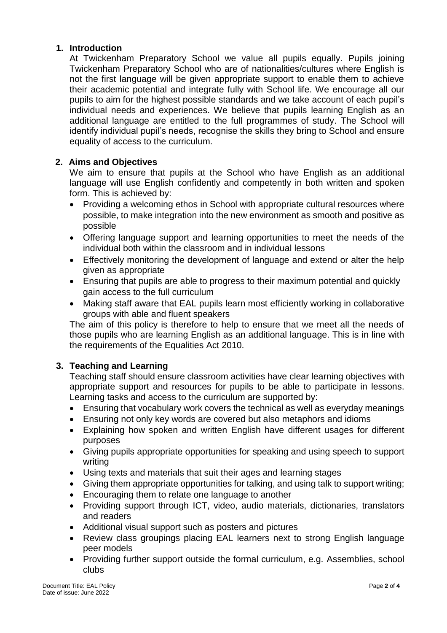### <span id="page-1-0"></span>**1. Introduction**

At Twickenham Preparatory School we value all pupils equally. Pupils joining Twickenham Preparatory School who are of nationalities/cultures where English is not the first language will be given appropriate support to enable them to achieve their academic potential and integrate fully with School life. We encourage all our pupils to aim for the highest possible standards and we take account of each pupil's individual needs and experiences. We believe that pupils learning English as an additional language are entitled to the full programmes of study. The School will identify individual pupil's needs, recognise the skills they bring to School and ensure equality of access to the curriculum.

## <span id="page-1-1"></span>**2. Aims and Objectives**

We aim to ensure that pupils at the School who have English as an additional language will use English confidently and competently in both written and spoken form. This is achieved by:

- Providing a welcoming ethos in School with appropriate cultural resources where possible, to make integration into the new environment as smooth and positive as possible
- Offering language support and learning opportunities to meet the needs of the individual both within the classroom and in individual lessons
- Effectively monitoring the development of language and extend or alter the help given as appropriate
- Ensuring that pupils are able to progress to their maximum potential and quickly gain access to the full curriculum
- Making staff aware that EAL pupils learn most efficiently working in collaborative groups with able and fluent speakers

The aim of this policy is therefore to help to ensure that we meet all the needs of those pupils who are learning English as an additional language. This is in line with the requirements of the Equalities Act 2010.

## <span id="page-1-2"></span>**3. Teaching and Learning**

Teaching staff should ensure classroom activities have clear learning objectives with appropriate support and resources for pupils to be able to participate in lessons. Learning tasks and access to the curriculum are supported by:

- Ensuring that vocabulary work covers the technical as well as everyday meanings
- Ensuring not only key words are covered but also metaphors and idioms
- Explaining how spoken and written English have different usages for different purposes
- Giving pupils appropriate opportunities for speaking and using speech to support writing
- Using texts and materials that suit their ages and learning stages
- Giving them appropriate opportunities for talking, and using talk to support writing;
- Encouraging them to relate one language to another
- Providing support through ICT, video, audio materials, dictionaries, translators and readers
- Additional visual support such as posters and pictures
- Review class groupings placing EAL learners next to strong English language peer models
- Providing further support outside the formal curriculum, e.g. Assemblies, school clubs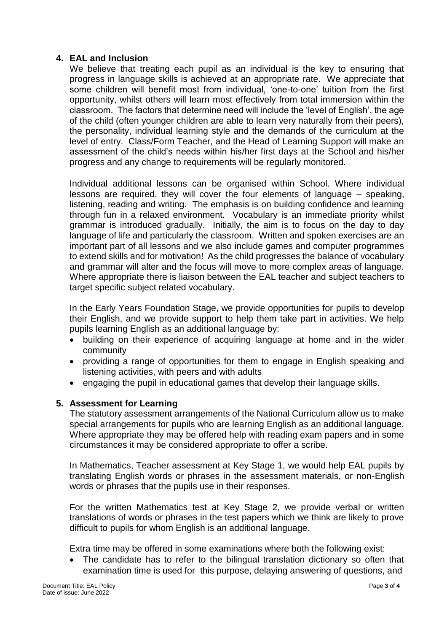## <span id="page-2-0"></span>**4. EAL and Inclusion**

We believe that treating each pupil as an individual is the key to ensuring that progress in language skills is achieved at an appropriate rate. We appreciate that some children will benefit most from individual, 'one-to-one' tuition from the first opportunity, whilst others will learn most effectively from total immersion within the classroom. The factors that determine need will include the 'level of English', the age of the child (often younger children are able to learn very naturally from their peers), the personality, individual learning style and the demands of the curriculum at the level of entry. Class/Form Teacher, and the Head of Learning Support will make an assessment of the child's needs within his/her first days at the School and his/her progress and any change to requirements will be regularly monitored.

Individual additional lessons can be organised within School. Where individual lessons are required, they will cover the four elements of language – speaking, listening, reading and writing. The emphasis is on building confidence and learning through fun in a relaxed environment. Vocabulary is an immediate priority whilst grammar is introduced gradually. Initially, the aim is to focus on the day to day language of life and particularly the classroom. Written and spoken exercises are an important part of all lessons and we also include games and computer programmes to extend skills and for motivation! As the child progresses the balance of vocabulary and grammar will alter and the focus will move to more complex areas of language. Where appropriate there is liaison between the EAL teacher and subject teachers to target specific subject related vocabulary.

In the Early Years Foundation Stage, we provide opportunities for pupils to develop their English, and we provide support to help them take part in activities. We help pupils learning English as an additional language by:

- building on their experience of acquiring language at home and in the wider community
- providing a range of opportunities for them to engage in English speaking and listening activities, with peers and with adults
- engaging the pupil in educational games that develop their language skills.

### <span id="page-2-1"></span>**5. Assessment for Learning**

The statutory assessment arrangements of the National Curriculum allow us to make special arrangements for pupils who are learning English as an additional language. Where appropriate they may be offered help with reading exam papers and in some circumstances it may be considered appropriate to offer a scribe.

In Mathematics, Teacher assessment at Key Stage 1, we would help EAL pupils by translating English words or phrases in the assessment materials, or non-English words or phrases that the pupils use in their responses.

For the written Mathematics test at Key Stage 2, we provide verbal or written translations of words or phrases in the test papers which we think are likely to prove difficult to pupils for whom English is an additional language.

Extra time may be offered in some examinations where both the following exist:

• The candidate has to refer to the bilingual translation dictionary so often that examination time is used for this purpose, delaying answering of questions, and